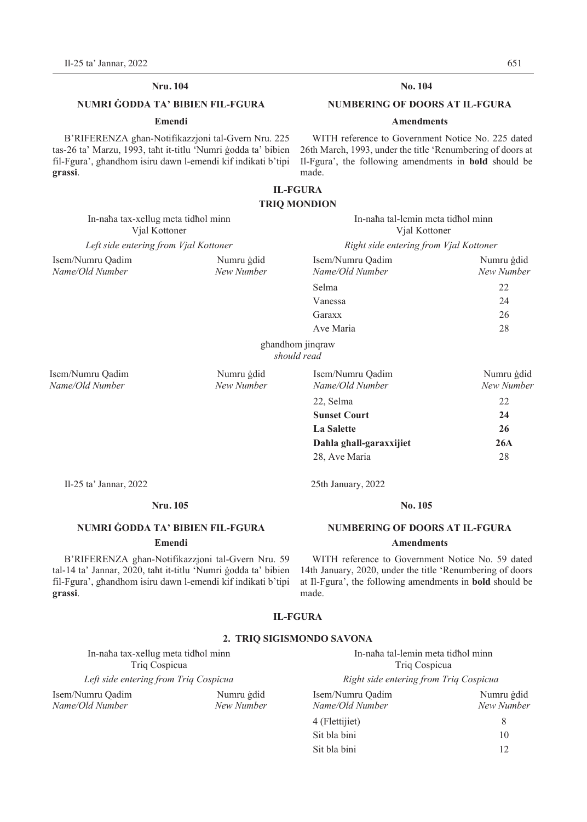#### **Nru.** 104 **No.** 104

#### **NUMRI ĠODDA TA' BIBIEN FIL-FGURA**

#### **Emendi**

B'RIFERENZA għan-Notifikazzjoni tal-Gvern Nru. 225 tas-26 ta' Marzu, 1993, taħt it-titlu 'Numri ġodda ta' bibien fil-Fgura', għandhom isiru dawn l-emendi kif indikati b'tipi **grassi**.

Vjal Kottoner

Isem/Numru Qadim Numru ġdid Isem/Numru Qadim Numru ġdid *Name/Old Number New Number Name/Old Number New Number*

#### **No.**

#### **NUMBERING OF DOORS AT IL-FGURA**

#### **Amendments**

WITH reference to Government Notice No. 225 dated 26th March, 1993, under the title 'Renumbering of doors at Il-Fgura', the following amendments in **bold** should be made.

### **IL-FGURA TRIQ MONDION**

# In-naħa tax-xellug meta tidħol minn In-naħa tal-lemin meta tidħol minn

*Left side entering from Vjal Kottoner Right side entering from Vjal Kottoner*

| 1 ġdid<br>umber | Isem/Numru Oadim<br>Name/Old Number | Numru gdid<br>New Number |
|-----------------|-------------------------------------|--------------------------|
|                 | Selma                               | 22                       |
|                 | Vanessa                             | 24                       |
|                 | Garaxx                              | 26                       |
|                 | Ave Maria                           | 28                       |

għandhom jinqraw *should read* 

Isem/Numru Qadim Numru ġdid Isem/Numru Qadim Numru ġdid *Name/Old Number New Number Name/Old Number New Number*

| gdid  | Isem/Numru Oadim        | Numru gdid |
|-------|-------------------------|------------|
| ımber | Name/Old Number         | New Number |
|       | 22, Selma               | 22         |
|       | <b>Sunset Court</b>     | 24         |
|       | <b>La Salette</b>       | 26         |
|       | Dahla ghall-garaxxijiet | 26A        |
|       | 28, Ave Maria           | 28         |
|       |                         |            |

Il-25 ta' Jannar, 2022 25th January, 2022

#### **Nru. 105 No. 105**

#### **NUMRI ĠODDA TA' BIBIEN FIL-FGURA Emendi**

B'RIFERENZA għan-Notifikazzjoni tal-Gvern Nru. 59 tal-14 ta' Jannar, 2020, taħt it-titlu 'Numri ġodda ta' bibien fil-Fgura', għandhom isiru dawn l-emendi kif indikati b'tipi **grassi**.

## made.

#### **IL-FGURA**

#### **2. TRIQ SIGISMONDO SAVONA**

In-naħa tax-xellug meta tidħol minn In-naħa tal-lemin meta tidħol minn

*Left side entering from Triq Cospicua Right side entering from Triq Cospicua*

Isem/Numru Qadim Numru ġdid<br>
Name/Old Number New Number  $Name/Old Number$ 

Triq Cospicua Triq Cospicua

**NUMBERING OF DOORS AT IL-FGURA Amendments**  WITH reference to Government Notice No. 59 dated 14th January, 2020, under the title 'Renumbering of doors at Il-Fgura', the following amendments in **bold** should be

| Isem/Numru Oadim | Numru gdid<br>New Number |
|------------------|--------------------------|
| 4 (Flettijiet)   | x                        |
| Sit bla bini     | 10                       |
| Sit bla bini     | 12                       |
|                  | Name/Old Number          |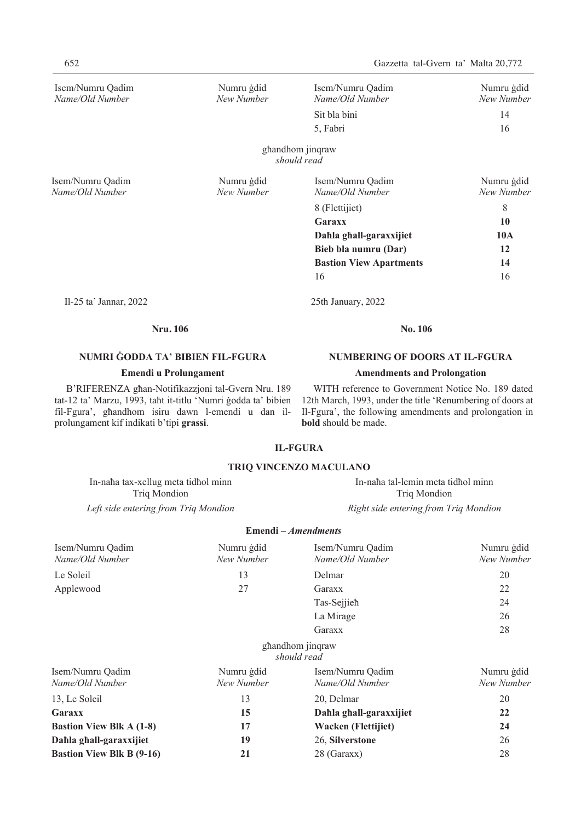| Isem/Numru Qadim<br>Name/Old Number                                                                                                                                                                                   | Numru gdid<br>New Number | Isem/Numru Qadim<br>Name/Old Number                                                                                                                                                                       | Numru gdid<br>New Number |
|-----------------------------------------------------------------------------------------------------------------------------------------------------------------------------------------------------------------------|--------------------------|-----------------------------------------------------------------------------------------------------------------------------------------------------------------------------------------------------------|--------------------------|
|                                                                                                                                                                                                                       |                          | Sit bla bini                                                                                                                                                                                              | 14                       |
|                                                                                                                                                                                                                       |                          | 5, Fabri                                                                                                                                                                                                  | 16                       |
|                                                                                                                                                                                                                       |                          | ghandhom jinqraw<br>should read                                                                                                                                                                           |                          |
| Isem/Numru Qadim<br>Name/Old Number                                                                                                                                                                                   | Numru gdid<br>New Number | Isem/Numru Qadim<br>Name/Old Number                                                                                                                                                                       | Numru ġdid<br>New Number |
|                                                                                                                                                                                                                       |                          | 8 (Flettijiet)                                                                                                                                                                                            | 8                        |
|                                                                                                                                                                                                                       |                          | Garaxx                                                                                                                                                                                                    | 10                       |
|                                                                                                                                                                                                                       |                          | Dahla ghall-garaxxijiet                                                                                                                                                                                   | <b>10A</b>               |
|                                                                                                                                                                                                                       |                          | Bieb bla numru (Dar)                                                                                                                                                                                      | 12                       |
|                                                                                                                                                                                                                       |                          | <b>Bastion View Apartments</b>                                                                                                                                                                            | 14                       |
|                                                                                                                                                                                                                       |                          | 16                                                                                                                                                                                                        | 16                       |
| Il-25 ta' Jannar, 2022                                                                                                                                                                                                |                          | 25th January, 2022                                                                                                                                                                                        |                          |
| <b>Nru. 106</b>                                                                                                                                                                                                       |                          | No. 106                                                                                                                                                                                                   |                          |
| NUMRI GODDA TA' BIBIEN FIL-FGURA                                                                                                                                                                                      |                          | <b>NUMBERING OF DOORS AT IL-FGURA</b>                                                                                                                                                                     |                          |
| <b>Emendi</b> u Prolungament                                                                                                                                                                                          |                          | <b>Amendments and Prolongation</b>                                                                                                                                                                        |                          |
| B'RIFERENZA ghan-Notifikazzioni tal-Gvern Nru. 189<br>tat-12 ta' Marzu, 1993, taht it-titlu 'Numri godda ta' bibien<br>fil-Fgura', ghandhom isiru dawn l-emendi u dan il-<br>prolungament kif indikati b'tipi grassi. |                          | WITH reference to Government Notice No. 189 dated<br>12th March, 1993, under the title 'Renumbering of doors at<br>Il-Fgura', the following amendments and prolongation in<br><b>bold</b> should be made. |                          |

### **IL-FGURA**

#### **TRIQ VINCENZO MACULANO**

Triq Mondion<br>Left side entering from Triq Mondion

In-naħa tax-xellug meta tidħol minn In-naħa tal-lemin meta tidħol minn

*Left side entering from Triq Mondion Right side entering from Triq Mondion*

|                                     |                          | Emendi – Amendments                 |                          |
|-------------------------------------|--------------------------|-------------------------------------|--------------------------|
| Isem/Numru Qadim<br>Name/Old Number | Numru gdid<br>New Number | Isem/Numru Qadim<br>Name/Old Number | Numru gdid<br>New Number |
| Le Soleil                           | 13                       | Delmar                              | 20                       |
| Applewood                           | 27                       | Garaxx                              | 22                       |
|                                     |                          | Tas-Sejjieh                         | 24                       |
|                                     |                          | La Mirage                           | 26                       |
|                                     |                          | Garaxx                              | 28                       |
|                                     |                          | ghandhom jinqraw<br>should read     |                          |
| Isem/Numru Qadim<br>Name/Old Number | Numru gdid<br>New Number | Isem/Numru Qadim<br>Name/Old Number | Numru gdid<br>New Number |
| 13, Le Soleil                       | 13                       | 20, Delmar                          | 20                       |
| <b>Garaxx</b>                       | 15                       | Dahla ghall-garaxxijiet             | 22                       |
| <b>Bastion View Blk A (1-8)</b>     | 17                       | <b>Wacken</b> (Flettijiet)          | 24                       |
| Dahla ghall-garaxxijiet             | 19                       | 26, Silverstone                     | 26                       |
| <b>Bastion View Blk B (9-16)</b>    | 21                       | 28 (Garaxx)                         | 28                       |
|                                     |                          |                                     |                          |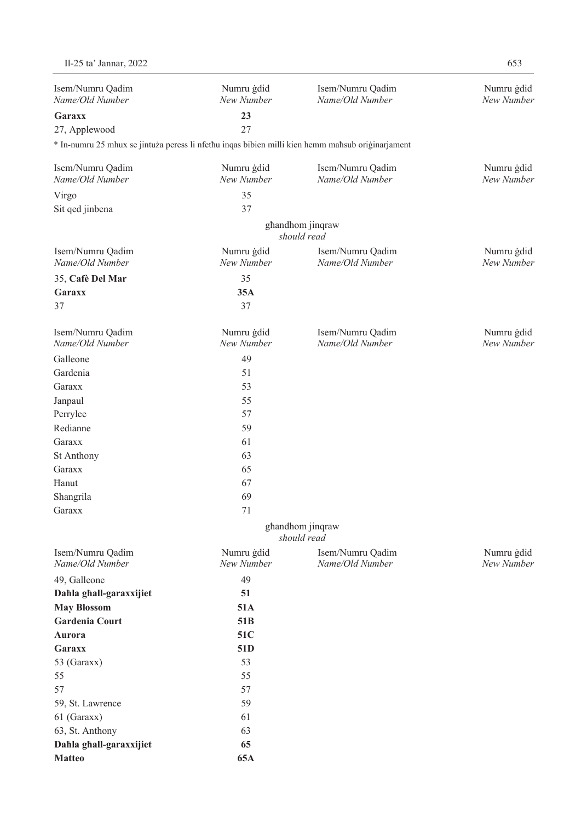| Isem/Numru Qadim                                                                                  | Numru ġdid               | Isem/Numru Qadim                    | Numru ġdid               |
|---------------------------------------------------------------------------------------------------|--------------------------|-------------------------------------|--------------------------|
| Name/Old Number                                                                                   | New Number               | Name/Old Number                     | New Number               |
| <b>Garaxx</b>                                                                                     | 23                       |                                     |                          |
| 27, Applewood                                                                                     | 27                       |                                     |                          |
| * In-numru 25 mhux se jintuża peress li nfethu inqas bibien milli kien hemm mahsub originarjament |                          |                                     |                          |
| Isem/Numru Qadim<br>Name/Old Number                                                               | Numru ġdid<br>New Number | Isem/Numru Qadim<br>Name/Old Number | Numru ġdid<br>New Number |
|                                                                                                   |                          |                                     |                          |
| Virgo                                                                                             | 35                       |                                     |                          |
| Sit qed jinbena                                                                                   | 37                       |                                     |                          |
|                                                                                                   |                          | ghandhom jinqraw<br>should read     |                          |
| Isem/Numru Qadim<br>Name/Old Number                                                               | Numru ġdid<br>New Number | Isem/Numru Qadim<br>Name/Old Number | Numru gdid<br>New Number |
| 35, Cafè Del Mar                                                                                  | 35                       |                                     |                          |
| Garaxx                                                                                            | 35A                      |                                     |                          |
| 37                                                                                                | 37                       |                                     |                          |
|                                                                                                   |                          |                                     |                          |
| Isem/Numru Qadim<br>Name/Old Number                                                               | Numru ġdid<br>New Number | Isem/Numru Qadim<br>Name/Old Number | Numru ġdid<br>New Number |
| Galleone                                                                                          | 49                       |                                     |                          |
| Gardenia                                                                                          | 51                       |                                     |                          |
| Garaxx                                                                                            | 53                       |                                     |                          |
| Janpaul                                                                                           | 55                       |                                     |                          |
| Perrylee                                                                                          | 57                       |                                     |                          |
| Redianne                                                                                          | 59                       |                                     |                          |
| Garaxx                                                                                            | 61                       |                                     |                          |
| St Anthony                                                                                        | 63                       |                                     |                          |
| Garaxx                                                                                            | 65                       |                                     |                          |
| Hanut                                                                                             | 67                       |                                     |                          |
| Shangrila                                                                                         | 69                       |                                     |                          |
| Garaxx                                                                                            | 71                       |                                     |                          |
|                                                                                                   |                          |                                     |                          |
|                                                                                                   |                          | ghandhom jinqraw<br>should read     |                          |
| Isem/Numru Qadim<br>Name/Old Number                                                               | Numru ġdid<br>New Number | Isem/Numru Qadim<br>Name/Old Number | Numru ġdid<br>New Number |
| 49, Galleone                                                                                      | 49                       |                                     |                          |
| Dahla ghall-garaxxijiet                                                                           | 51                       |                                     |                          |
| <b>May Blossom</b>                                                                                | 51A                      |                                     |                          |
| Gardenia Court                                                                                    | 51 <sub>B</sub>          |                                     |                          |
| <b>Aurora</b>                                                                                     | 51C                      |                                     |                          |
| Garaxx                                                                                            | 51 <sub>D</sub>          |                                     |                          |
| 53 (Garaxx)                                                                                       | 53                       |                                     |                          |
| 55                                                                                                | 55                       |                                     |                          |
| 57                                                                                                | 57                       |                                     |                          |
| 59, St. Lawrence                                                                                  | 59                       |                                     |                          |
| 61 (Garaxx)                                                                                       | 61                       |                                     |                          |
| 63, St. Anthony                                                                                   | 63                       |                                     |                          |
| Dahla ghall-garaxxijiet                                                                           | 65                       |                                     |                          |
| <b>Matteo</b>                                                                                     | 65A                      |                                     |                          |